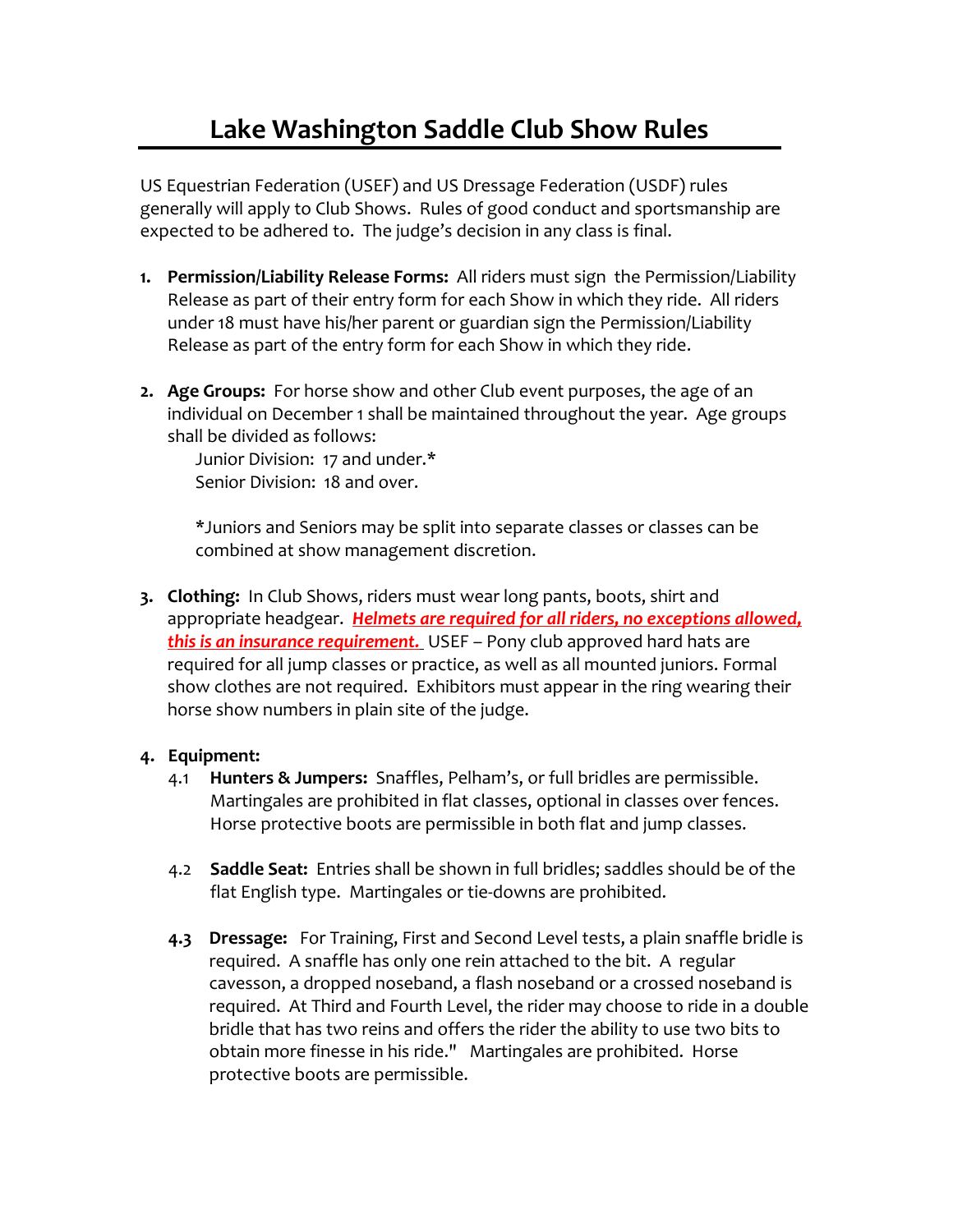US Equestrian Federation (USEF) and US Dressage Federation (USDF) rules generally will apply to Club Shows. Rules of good conduct and sportsmanship are expected to be adhered to. The judge's decision in any class is final.

- **1. Permission/Liability Release Forms:** All riders must sign the Permission/Liability Release as part of their entry form for each Show in which they ride. All riders under 18 must have his/her parent or guardian sign the Permission/Liability Release as part of the entry form for each Show in which they ride.
- **2. Age Groups:** For horse show and other Club event purposes, the age of an individual on December 1 shall be maintained throughout the year. Age groups shall be divided as follows:

Junior Division: 17 and under.\* Senior Division: 18 and over.

\*Juniors and Seniors may be split into separate classes or classes can be combined at show management discretion.

**3. Clothing:** In Club Shows, riders must wear long pants, boots, shirt and appropriate headgear. *Helmets are required for all riders, no exceptions allowed, this is an insurance requirement.* USEF – Pony club approved hard hats are required for all jump classes or practice, as well as all mounted juniors. Formal show clothes are not required. Exhibitors must appear in the ring wearing their horse show numbers in plain site of the judge.

## **4. Equipment:**

- 4.1 **Hunters & Jumpers:** Snaffles, Pelham's, or full bridles are permissible. Martingales are prohibited in flat classes, optional in classes over fences. Horse protective boots are permissible in both flat and jump classes.
- 4.2 **Saddle Seat:** Entries shall be shown in full bridles; saddles should be of the flat English type. Martingales or tie-downs are prohibited.
- **4.3 Dressage:** For Training, First and Second Level tests, a plain snaffle bridle is required. A snaffle has only one rein attached to the bit. A regular cavesson, a dropped noseband, a flash noseband or a crossed noseband is required. At Third and Fourth Level, the rider may choose to ride in a double bridle that has two reins and offers the rider the ability to use two bits to obtain more finesse in his ride." Martingales are prohibited. Horse protective boots are permissible.